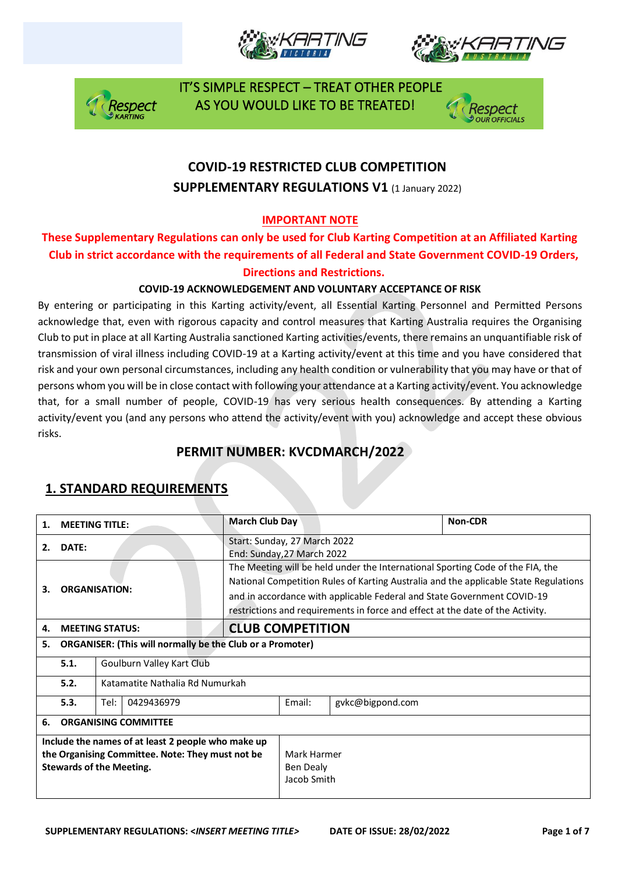







# **COVID-19 RESTRICTED CLUB COMPETITION SUPPLEMENTARY REGULATIONS V1 (1 January 2022)**

### **IMPORTANT NOTE**

### **These Supplementary Regulations can only be used for Club Karting Competition at an Affiliated Karting Club in strict accordance with the requirements of all Federal and State Government COVID-19 Orders, Directions and Restrictions.**

### **COVID-19 ACKNOWLEDGEMENT AND VOLUNTARY ACCEPTANCE OF RISK**

By entering or participating in this Karting activity/event, all Essential Karting Personnel and Permitted Persons acknowledge that, even with rigorous capacity and control measures that Karting Australia requires the Organising Club to put in place at all Karting Australia sanctioned Karting activities/events, there remains an unquantifiable risk of transmission of viral illness including COVID-19 at a Karting activity/event at this time and you have considered that risk and your own personal circumstances, including any health condition or vulnerability that you may have or that of persons whom you will be in close contact with following your attendance at a Karting activity/event. You acknowledge that, for a small number of people, COVID-19 has very serious health consequences. By attending a Karting activity/event you (and any persons who attend the activity/event with you) acknowledge and accept these obvious risks.

## **PERMIT NUMBER: KVCDMARCH/2022**

| 1.                                                                                                                                        | <b>MEETING TITLE:</b>                                            |                                 |                                                                                                                                                                                                                                                                                                                                     | <b>March Club Day</b>                                      |        |                  | Non-CDR |  |
|-------------------------------------------------------------------------------------------------------------------------------------------|------------------------------------------------------------------|---------------------------------|-------------------------------------------------------------------------------------------------------------------------------------------------------------------------------------------------------------------------------------------------------------------------------------------------------------------------------------|------------------------------------------------------------|--------|------------------|---------|--|
| 2.                                                                                                                                        | DATE:                                                            |                                 |                                                                                                                                                                                                                                                                                                                                     | Start: Sunday, 27 March 2022<br>End: Sunday, 27 March 2022 |        |                  |         |  |
| <b>ORGANISATION:</b><br>З.                                                                                                                |                                                                  |                                 | The Meeting will be held under the International Sporting Code of the FIA, the<br>National Competition Rules of Karting Australia and the applicable State Regulations<br>and in accordance with applicable Federal and State Government COVID-19<br>restrictions and requirements in force and effect at the date of the Activity. |                                                            |        |                  |         |  |
| 4.                                                                                                                                        | <b>MEETING STATUS:</b>                                           |                                 |                                                                                                                                                                                                                                                                                                                                     | <b>CLUB COMPETITION</b>                                    |        |                  |         |  |
| 5.                                                                                                                                        | <b>ORGANISER: (This will normally be the Club or a Promoter)</b> |                                 |                                                                                                                                                                                                                                                                                                                                     |                                                            |        |                  |         |  |
|                                                                                                                                           | 5.1.                                                             | Goulburn Valley Kart Club       |                                                                                                                                                                                                                                                                                                                                     |                                                            |        |                  |         |  |
|                                                                                                                                           | 5.2.                                                             | Katamatite Nathalia Rd Numurkah |                                                                                                                                                                                                                                                                                                                                     |                                                            |        |                  |         |  |
|                                                                                                                                           | 5.3.                                                             | Tel:<br>0429436979              |                                                                                                                                                                                                                                                                                                                                     |                                                            | Email: | gykc@bigpond.com |         |  |
| 6.                                                                                                                                        | <b>ORGANISING COMMITTEE</b>                                      |                                 |                                                                                                                                                                                                                                                                                                                                     |                                                            |        |                  |         |  |
| Include the names of at least 2 people who make up<br>the Organising Committee. Note: They must not be<br><b>Stewards of the Meeting.</b> |                                                                  |                                 | Mark Harmer<br>Ben Dealy<br>Jacob Smith                                                                                                                                                                                                                                                                                             |                                                            |        |                  |         |  |

## **1. STANDARD REQUIREMENTS**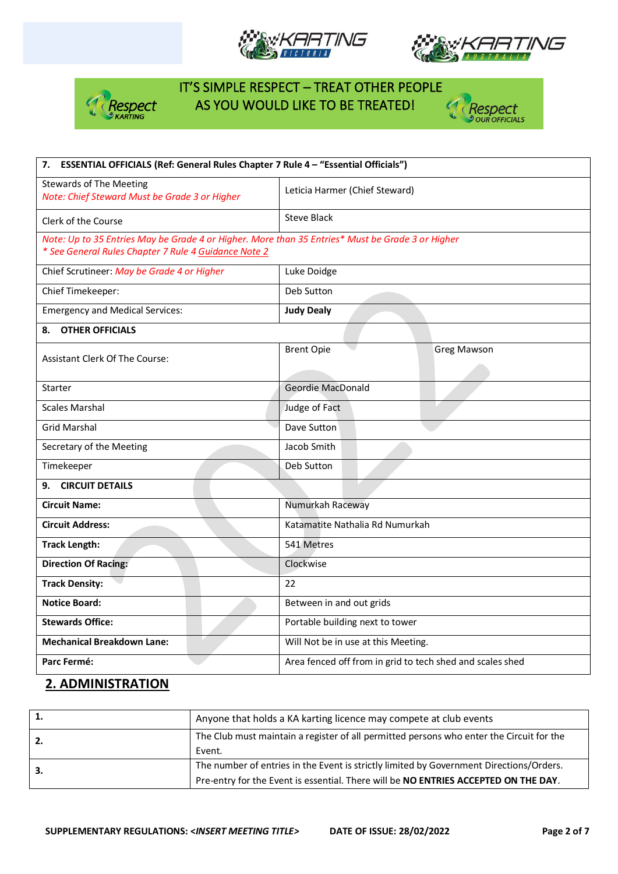







| 7. ESSENTIAL OFFICIALS (Ref: General Rules Chapter 7 Rule 4 - "Essential Officials")             |                                                           |  |  |  |  |
|--------------------------------------------------------------------------------------------------|-----------------------------------------------------------|--|--|--|--|
| <b>Stewards of The Meeting</b><br>Note: Chief Steward Must be Grade 3 or Higher                  | Leticia Harmer (Chief Steward)                            |  |  |  |  |
| Clerk of the Course                                                                              | <b>Steve Black</b>                                        |  |  |  |  |
| Note: Up to 35 Entries May be Grade 4 or Higher. More than 35 Entries* Must be Grade 3 or Higher |                                                           |  |  |  |  |
| * See General Rules Chapter 7 Rule 4 Guidance Note 2                                             |                                                           |  |  |  |  |
| Chief Scrutineer: May be Grade 4 or Higher                                                       | Luke Doidge                                               |  |  |  |  |
| Chief Timekeeper:                                                                                | Deb Sutton                                                |  |  |  |  |
| <b>Emergency and Medical Services:</b>                                                           | <b>Judy Dealy</b>                                         |  |  |  |  |
| <b>OTHER OFFICIALS</b><br>8.                                                                     |                                                           |  |  |  |  |
| <b>Assistant Clerk Of The Course:</b>                                                            | <b>Brent Opie</b><br><b>Greg Mawson</b>                   |  |  |  |  |
|                                                                                                  |                                                           |  |  |  |  |
| <b>Starter</b>                                                                                   | Geordie MacDonald                                         |  |  |  |  |
| <b>Scales Marshal</b>                                                                            | Judge of Fact                                             |  |  |  |  |
| <b>Grid Marshal</b>                                                                              | Dave Sutton                                               |  |  |  |  |
| Secretary of the Meeting                                                                         | Jacob Smith                                               |  |  |  |  |
| Timekeeper                                                                                       | Deb Sutton                                                |  |  |  |  |
| <b>CIRCUIT DETAILS</b><br>9.                                                                     |                                                           |  |  |  |  |
| <b>Circuit Name:</b>                                                                             | Numurkah Raceway                                          |  |  |  |  |
| <b>Circuit Address:</b>                                                                          | Katamatite Nathalia Rd Numurkah                           |  |  |  |  |
| <b>Track Length:</b>                                                                             | 541 Metres                                                |  |  |  |  |
| <b>Direction Of Racing:</b>                                                                      | Clockwise                                                 |  |  |  |  |
| <b>Track Density:</b>                                                                            | 22                                                        |  |  |  |  |
| <b>Notice Board:</b>                                                                             | Between in and out grids                                  |  |  |  |  |
| <b>Stewards Office:</b>                                                                          | Portable building next to tower                           |  |  |  |  |
| <b>Mechanical Breakdown Lane:</b>                                                                | Will Not be in use at this Meeting.                       |  |  |  |  |
| Parc Fermé:                                                                                      | Area fenced off from in grid to tech shed and scales shed |  |  |  |  |

## **2. ADMINISTRATION**

|    | Anyone that holds a KA karting licence may compete at club events                                                                                                              |
|----|--------------------------------------------------------------------------------------------------------------------------------------------------------------------------------|
| 2. | The Club must maintain a register of all permitted persons who enter the Circuit for the<br>Event.                                                                             |
| 3. | The number of entries in the Event is strictly limited by Government Directions/Orders.<br>Pre-entry for the Event is essential. There will be NO ENTRIES ACCEPTED ON THE DAY. |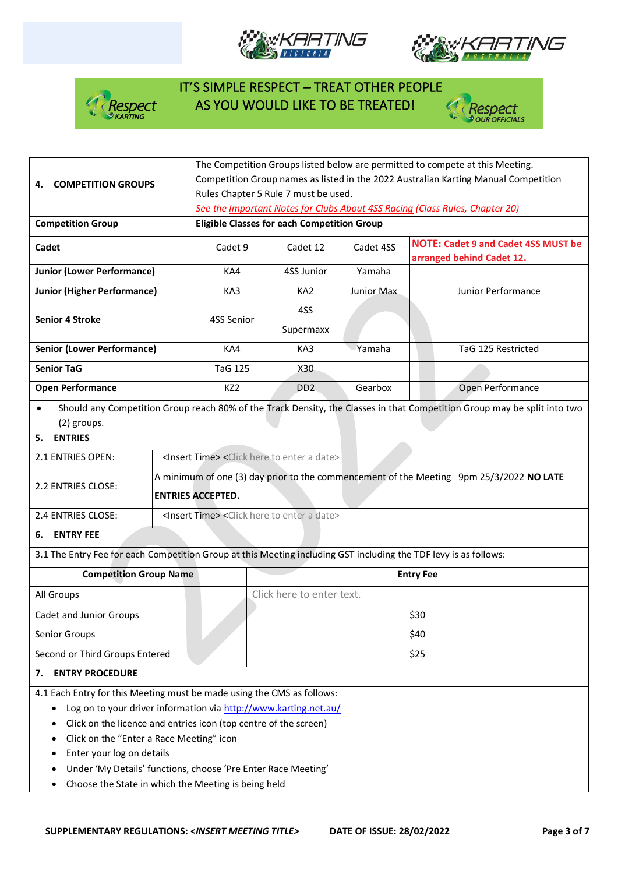







| <b>COMPETITION GROUPS</b><br>4.                                                                                                                                                                                                                            | The Competition Groups listed below are permitted to compete at this Meeting.<br>Competition Group names as listed in the 2022 Australian Karting Manual Competition<br>Rules Chapter 5 Rule 7 must be used. |                                                                                                                                    |                                                                               |                                                                               |            |                                                                                                                          |  |  |  |
|------------------------------------------------------------------------------------------------------------------------------------------------------------------------------------------------------------------------------------------------------------|--------------------------------------------------------------------------------------------------------------------------------------------------------------------------------------------------------------|------------------------------------------------------------------------------------------------------------------------------------|-------------------------------------------------------------------------------|-------------------------------------------------------------------------------|------------|--------------------------------------------------------------------------------------------------------------------------|--|--|--|
| <b>Competition Group</b>                                                                                                                                                                                                                                   |                                                                                                                                                                                                              | See the Important Notes for Clubs About 4SS Racing (Class Rules, Chapter 20)<br><b>Eligible Classes for each Competition Group</b> |                                                                               |                                                                               |            |                                                                                                                          |  |  |  |
|                                                                                                                                                                                                                                                            |                                                                                                                                                                                                              |                                                                                                                                    |                                                                               |                                                                               |            |                                                                                                                          |  |  |  |
| Cadet                                                                                                                                                                                                                                                      |                                                                                                                                                                                                              | Cadet 9                                                                                                                            |                                                                               | Cadet 12                                                                      | Cadet 4SS  | <b>NOTE: Cadet 9 and Cadet 4SS MUST be</b><br>arranged behind Cadet 12.                                                  |  |  |  |
| <b>Junior (Lower Performance)</b>                                                                                                                                                                                                                          |                                                                                                                                                                                                              | KA4                                                                                                                                |                                                                               | 4SS Junior                                                                    | Yamaha     |                                                                                                                          |  |  |  |
| <b>Junior (Higher Performance)</b>                                                                                                                                                                                                                         |                                                                                                                                                                                                              | KA3                                                                                                                                |                                                                               | KA <sub>2</sub>                                                               | Junior Max | Junior Performance                                                                                                       |  |  |  |
| <b>Senior 4 Stroke</b>                                                                                                                                                                                                                                     |                                                                                                                                                                                                              | 4SS Senior                                                                                                                         |                                                                               | 4SS<br>Supermaxx                                                              |            |                                                                                                                          |  |  |  |
| <b>Senior (Lower Performance)</b>                                                                                                                                                                                                                          |                                                                                                                                                                                                              | KA4                                                                                                                                |                                                                               | KA3                                                                           | Yamaha     | TaG 125 Restricted                                                                                                       |  |  |  |
| <b>Senior TaG</b>                                                                                                                                                                                                                                          |                                                                                                                                                                                                              | <b>TaG 125</b>                                                                                                                     |                                                                               | X30                                                                           |            |                                                                                                                          |  |  |  |
| <b>Open Performance</b>                                                                                                                                                                                                                                    |                                                                                                                                                                                                              | KZ <sub>2</sub>                                                                                                                    |                                                                               | DD <sub>2</sub>                                                               | Gearbox    | Open Performance                                                                                                         |  |  |  |
| $\bullet$<br>(2) groups.                                                                                                                                                                                                                                   |                                                                                                                                                                                                              |                                                                                                                                    |                                                                               |                                                                               |            | Should any Competition Group reach 80% of the Track Density, the Classes in that Competition Group may be split into two |  |  |  |
| <b>ENTRIES</b><br>5.                                                                                                                                                                                                                                       |                                                                                                                                                                                                              |                                                                                                                                    |                                                                               |                                                                               |            |                                                                                                                          |  |  |  |
| 2.1 ENTRIES OPEN:                                                                                                                                                                                                                                          |                                                                                                                                                                                                              |                                                                                                                                    | <insert time=""> <click a="" date="" enter="" here="" to=""></click></insert> |                                                                               |            |                                                                                                                          |  |  |  |
| 2.2 ENTRIES CLOSE:                                                                                                                                                                                                                                         | A minimum of one (3) day prior to the commencement of the Meeting 9pm 25/3/2022 NO LATE<br><b>ENTRIES ACCEPTED.</b>                                                                                          |                                                                                                                                    |                                                                               |                                                                               |            |                                                                                                                          |  |  |  |
| 2.4 ENTRIES CLOSE:                                                                                                                                                                                                                                         |                                                                                                                                                                                                              |                                                                                                                                    |                                                                               | <insert time=""> <click a="" date="" enter="" here="" to=""></click></insert> |            |                                                                                                                          |  |  |  |
| <b>ENTRY FEE</b><br>6.                                                                                                                                                                                                                                     |                                                                                                                                                                                                              |                                                                                                                                    |                                                                               |                                                                               |            |                                                                                                                          |  |  |  |
| 3.1 The Entry Fee for each Competition Group at this Meeting including GST including the TDF levy is as follows:                                                                                                                                           |                                                                                                                                                                                                              |                                                                                                                                    |                                                                               |                                                                               |            |                                                                                                                          |  |  |  |
| <b>Competition Group Name</b>                                                                                                                                                                                                                              |                                                                                                                                                                                                              |                                                                                                                                    | <b>Entry Fee</b>                                                              |                                                                               |            |                                                                                                                          |  |  |  |
| All Groups                                                                                                                                                                                                                                                 |                                                                                                                                                                                                              |                                                                                                                                    | Click here to enter text.                                                     |                                                                               |            |                                                                                                                          |  |  |  |
| Cadet and Junior Groups                                                                                                                                                                                                                                    |                                                                                                                                                                                                              |                                                                                                                                    |                                                                               | \$30                                                                          |            |                                                                                                                          |  |  |  |
| Senior Groups                                                                                                                                                                                                                                              |                                                                                                                                                                                                              |                                                                                                                                    |                                                                               | \$40                                                                          |            |                                                                                                                          |  |  |  |
| Second or Third Groups Entered                                                                                                                                                                                                                             |                                                                                                                                                                                                              |                                                                                                                                    |                                                                               | \$25                                                                          |            |                                                                                                                          |  |  |  |
| <b>ENTRY PROCEDURE</b><br>7.                                                                                                                                                                                                                               |                                                                                                                                                                                                              |                                                                                                                                    |                                                                               |                                                                               |            |                                                                                                                          |  |  |  |
| 4.1 Each Entry for this Meeting must be made using the CMS as follows:<br>Log on to your driver information via http://www.karting.net.au/<br>Click on the licence and entries icon (top centre of the screen)<br>Click on the "Enter a Race Meeting" icon |                                                                                                                                                                                                              |                                                                                                                                    |                                                                               |                                                                               |            |                                                                                                                          |  |  |  |

- Enter your log on details
- Under 'My Details' functions, choose 'Pre Enter Race Meeting'
- Choose the State in which the Meeting is being held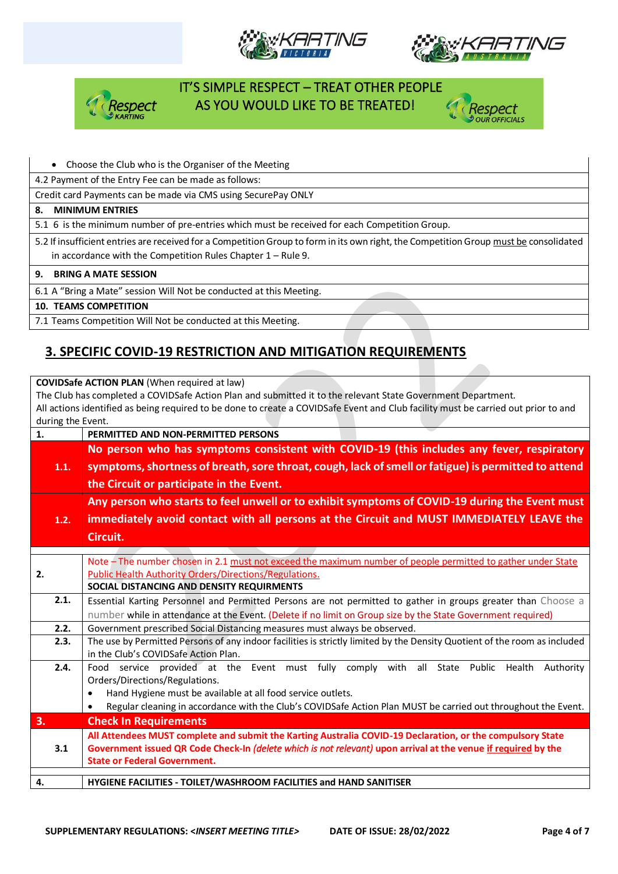







#### • Choose the Club who is the Organiser of the Meeting

4.2 Payment of the Entry Fee can be made as follows:

Credit card Payments can be made via CMS using SecurePay ONLY

#### **8. MINIMUM ENTRIES**

5.1 6 is the minimum number of pre-entries which must be received for each Competition Group.

5.2 If insufficient entries are received for a Competition Group to form in its own right, the Competition Group must be consolidated in accordance with the Competition Rules Chapter 1 – Rule 9.

#### **9. BRING A MATE SESSION**

6.1 A "Bring a Mate" session Will Not be conducted at this Meeting.

#### **10. TEAMS COMPETITION**

7.1 Teams Competition Will Not be conducted at this Meeting.

## **3. SPECIFIC COVID-19 RESTRICTION AND MITIGATION REQUIREMENTS**

**COVIDSafe ACTION PLAN** (When required at law)

The Club has completed a COVIDSafe Action Plan and submitted it to the relevant State Government Department. All actions identified as being required to be done to create a COVIDSafe Event and Club facility must be carried out prior to and during the Event.

| 1. | $0.01116$ and $0.0116$ | PERMITTED AND NON-PERMITTED PERSONS                                                                                         |  |  |  |  |  |  |
|----|------------------------|-----------------------------------------------------------------------------------------------------------------------------|--|--|--|--|--|--|
|    |                        | No person who has symptoms consistent with COVID-19 (this includes any fever, respiratory                                   |  |  |  |  |  |  |
|    | 1.1.                   | symptoms, shortness of breath, sore throat, cough, lack of smell or fatigue) is permitted to attend                         |  |  |  |  |  |  |
|    |                        |                                                                                                                             |  |  |  |  |  |  |
|    |                        | the Circuit or participate in the Event.                                                                                    |  |  |  |  |  |  |
|    |                        | Any person who starts to feel unwell or to exhibit symptoms of COVID-19 during the Event must                               |  |  |  |  |  |  |
|    | 1.2.                   | immediately avoid contact with all persons at the Circuit and MUST IMMEDIATELY LEAVE the                                    |  |  |  |  |  |  |
|    |                        | Circuit.                                                                                                                    |  |  |  |  |  |  |
|    |                        |                                                                                                                             |  |  |  |  |  |  |
|    |                        | Note - The number chosen in 2.1 must not exceed the maximum number of people permitted to gather under State                |  |  |  |  |  |  |
| 2. |                        | <b>Public Health Authority Orders/Directions/Regulations.</b>                                                               |  |  |  |  |  |  |
|    |                        | SOCIAL DISTANCING AND DENSITY REQUIRMENTS                                                                                   |  |  |  |  |  |  |
|    | 2.1.                   | Essential Karting Personnel and Permitted Persons are not permitted to gather in groups greater than Choose a               |  |  |  |  |  |  |
|    |                        | number while in attendance at the Event. (Delete if no limit on Group size by the State Government required)                |  |  |  |  |  |  |
|    | 2.2.                   | Government prescribed Social Distancing measures must always be observed.                                                   |  |  |  |  |  |  |
|    | 2.3.                   | The use by Permitted Persons of any indoor facilities is strictly limited by the Density Quotient of the room as included   |  |  |  |  |  |  |
|    |                        | in the Club's COVIDSafe Action Plan.                                                                                        |  |  |  |  |  |  |
|    | 2.4.                   | service provided at the Event must fully comply with all<br>State Public Health<br>Authority<br>Food                        |  |  |  |  |  |  |
|    |                        | Orders/Directions/Regulations.                                                                                              |  |  |  |  |  |  |
|    |                        | Hand Hygiene must be available at all food service outlets.<br>$\bullet$                                                    |  |  |  |  |  |  |
|    |                        | Regular cleaning in accordance with the Club's COVIDSafe Action Plan MUST be carried out throughout the Event.<br>$\bullet$ |  |  |  |  |  |  |
| 3. |                        | <b>Check In Requirements</b>                                                                                                |  |  |  |  |  |  |
|    |                        | All Attendees MUST complete and submit the Karting Australia COVID-19 Declaration, or the compulsory State                  |  |  |  |  |  |  |
|    | 3.1                    | Government issued QR Code Check-In (delete which is not relevant) upon arrival at the venue if required by the              |  |  |  |  |  |  |
|    |                        | <b>State or Federal Government.</b>                                                                                         |  |  |  |  |  |  |
| 4. |                        | HYGIENE FACILITIES - TOILET/WASHROOM FACILITIES and HAND SANITISER                                                          |  |  |  |  |  |  |
|    |                        |                                                                                                                             |  |  |  |  |  |  |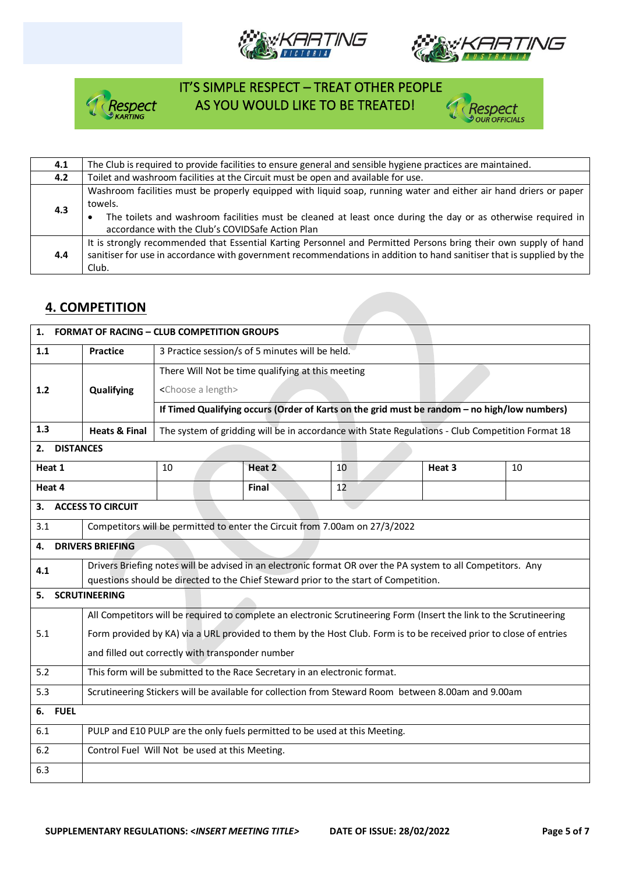







| 4.1 | The Club is required to provide facilities to ensure general and sensible hygiene practices are maintained.                                                                                                                                                                                      |
|-----|--------------------------------------------------------------------------------------------------------------------------------------------------------------------------------------------------------------------------------------------------------------------------------------------------|
| 4.2 | Toilet and washroom facilities at the Circuit must be open and available for use.                                                                                                                                                                                                                |
| 4.3 | Washroom facilities must be properly equipped with liquid soap, running water and either air hand driers or paper<br>towels.<br>The toilets and washroom facilities must be cleaned at least once during the day or as otherwise required in<br>accordance with the Club's COVIDSafe Action Plan |
| 4.4 | It is strongly recommended that Essential Karting Personnel and Permitted Persons bring their own supply of hand<br>sanitiser for use in accordance with government recommendations in addition to hand sanitiser that is supplied by the<br>Club.                                               |

## **4. COMPETITION**

| 1.                                                                                                                  | <b>FORMAT OF RACING - CLUB COMPETITION GROUPS</b>                                                                   |                                                                                                  |        |    |  |        |    |  |
|---------------------------------------------------------------------------------------------------------------------|---------------------------------------------------------------------------------------------------------------------|--------------------------------------------------------------------------------------------------|--------|----|--|--------|----|--|
| 1.1                                                                                                                 | <b>Practice</b>                                                                                                     | 3 Practice session/s of 5 minutes will be held.                                                  |        |    |  |        |    |  |
|                                                                                                                     |                                                                                                                     | There Will Not be time qualifying at this meeting                                                |        |    |  |        |    |  |
| $1.2$                                                                                                               | Qualifying                                                                                                          | <choose a="" length=""></choose>                                                                 |        |    |  |        |    |  |
|                                                                                                                     | If Timed Qualifying occurs (Order of Karts on the grid must be random - no high/low numbers)                        |                                                                                                  |        |    |  |        |    |  |
| 1.3                                                                                                                 | <b>Heats &amp; Final</b>                                                                                            | The system of gridding will be in accordance with State Regulations - Club Competition Format 18 |        |    |  |        |    |  |
| <b>DISTANCES</b><br>2.                                                                                              |                                                                                                                     |                                                                                                  |        |    |  |        |    |  |
| Heat 1                                                                                                              |                                                                                                                     | 10                                                                                               | Heat 2 | 10 |  | Heat 3 | 10 |  |
| Heat 4                                                                                                              |                                                                                                                     |                                                                                                  | Final  | 12 |  |        |    |  |
| З.                                                                                                                  | <b>ACCESS TO CIRCUIT</b>                                                                                            |                                                                                                  |        |    |  |        |    |  |
| 3.1                                                                                                                 |                                                                                                                     | Competitors will be permitted to enter the Circuit from 7.00am on 27/3/2022                      |        |    |  |        |    |  |
| 4.                                                                                                                  | <b>DRIVERS BRIEFING</b>                                                                                             |                                                                                                  |        |    |  |        |    |  |
| Drivers Briefing notes will be advised in an electronic format OR over the PA system to all Competitors. Any<br>4.1 |                                                                                                                     |                                                                                                  |        |    |  |        |    |  |
| 5.                                                                                                                  | questions should be directed to the Chief Steward prior to the start of Competition.<br><b>SCRUTINEERING</b>        |                                                                                                  |        |    |  |        |    |  |
|                                                                                                                     |                                                                                                                     |                                                                                                  |        |    |  |        |    |  |
| 5.1                                                                                                                 | All Competitors will be required to complete an electronic Scrutineering Form (Insert the link to the Scrutineering |                                                                                                  |        |    |  |        |    |  |
|                                                                                                                     | Form provided by KA) via a URL provided to them by the Host Club. Form is to be received prior to close of entries  |                                                                                                  |        |    |  |        |    |  |
|                                                                                                                     | and filled out correctly with transponder number                                                                    |                                                                                                  |        |    |  |        |    |  |
| 5.2                                                                                                                 | This form will be submitted to the Race Secretary in an electronic format.                                          |                                                                                                  |        |    |  |        |    |  |
| 5.3                                                                                                                 | Scrutineering Stickers will be available for collection from Steward Room between 8.00am and 9.00am                 |                                                                                                  |        |    |  |        |    |  |
| 6. FUEL                                                                                                             |                                                                                                                     |                                                                                                  |        |    |  |        |    |  |
| 6.1                                                                                                                 | PULP and E10 PULP are the only fuels permitted to be used at this Meeting.                                          |                                                                                                  |        |    |  |        |    |  |
| 6.2                                                                                                                 | Control Fuel Will Not be used at this Meeting.                                                                      |                                                                                                  |        |    |  |        |    |  |
| 6.3                                                                                                                 |                                                                                                                     |                                                                                                  |        |    |  |        |    |  |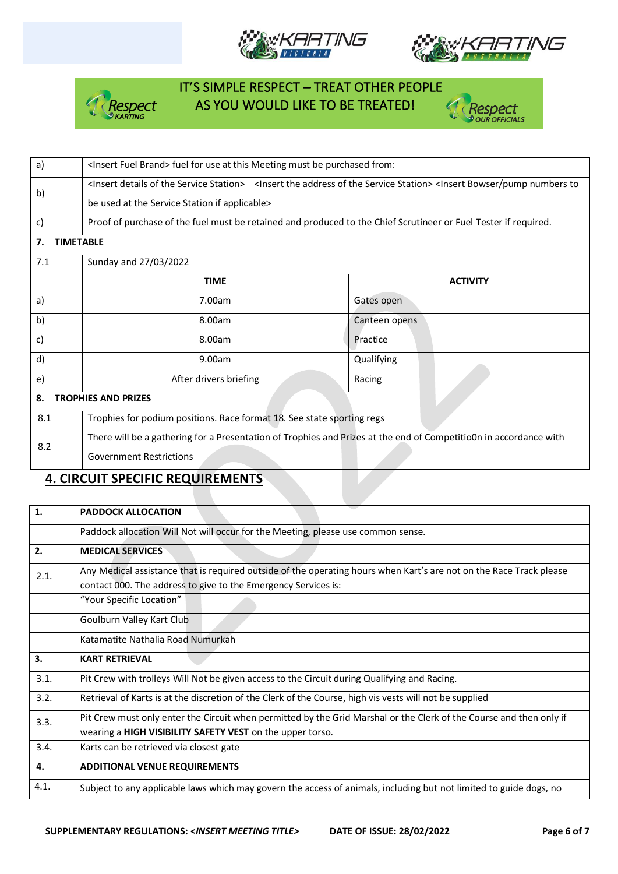







| a)                               | <lnsert brand="" fuel=""> fuel for use at this Meeting must be purchased from:</lnsert>                                                                                                     |                 |  |  |  |  |  |
|----------------------------------|---------------------------------------------------------------------------------------------------------------------------------------------------------------------------------------------|-----------------|--|--|--|--|--|
|                                  | <lnsert details="" of="" service="" station="" the=""> <lnsert address="" of="" service="" station="" the=""> <lnsert bowser="" numbers="" pump="" td="" to<=""></lnsert></lnsert></lnsert> |                 |  |  |  |  |  |
| b)                               | be used at the Service Station if applicable>                                                                                                                                               |                 |  |  |  |  |  |
| c)                               | Proof of purchase of the fuel must be retained and produced to the Chief Scrutineer or Fuel Tester if required.                                                                             |                 |  |  |  |  |  |
| 7.                               | <b>TIMETABLE</b>                                                                                                                                                                            |                 |  |  |  |  |  |
| 7.1                              | Sunday and 27/03/2022                                                                                                                                                                       |                 |  |  |  |  |  |
|                                  | <b>TIME</b>                                                                                                                                                                                 | <b>ACTIVITY</b> |  |  |  |  |  |
| a)                               | 7.00am                                                                                                                                                                                      | Gates open      |  |  |  |  |  |
| b)                               | 8.00am                                                                                                                                                                                      | Canteen opens   |  |  |  |  |  |
| c)                               | 8.00am                                                                                                                                                                                      | Practice        |  |  |  |  |  |
| d)                               | 9.00am                                                                                                                                                                                      | Qualifying      |  |  |  |  |  |
| e)                               | After drivers briefing                                                                                                                                                                      | Racing          |  |  |  |  |  |
| <b>TROPHIES AND PRIZES</b><br>8. |                                                                                                                                                                                             |                 |  |  |  |  |  |
| 8.1                              | Trophies for podium positions. Race format 18. See state sporting regs                                                                                                                      |                 |  |  |  |  |  |
| 8.2                              | There will be a gathering for a Presentation of Trophies and Prizes at the end of Competitio0n in accordance with                                                                           |                 |  |  |  |  |  |
|                                  | <b>Government Restrictions</b>                                                                                                                                                              |                 |  |  |  |  |  |

## **4. CIRCUIT SPECIFIC REQUIREMENTS**

| 1.   | <b>PADDOCK ALLOCATION</b>                                                                                           |
|------|---------------------------------------------------------------------------------------------------------------------|
|      | Paddock allocation Will Not will occur for the Meeting, please use common sense.                                    |
| 2.   | <b>MEDICAL SERVICES</b>                                                                                             |
| 2.1. | Any Medical assistance that is required outside of the operating hours when Kart's are not on the Race Track please |
|      | contact 000. The address to give to the Emergency Services is:                                                      |
|      | "Your Specific Location"                                                                                            |
|      | Goulburn Valley Kart Club                                                                                           |
|      | Katamatite Nathalia Road Numurkah                                                                                   |
| 3.   | <b>KART RETRIEVAL</b>                                                                                               |
| 3.1. | Pit Crew with trolleys Will Not be given access to the Circuit during Qualifying and Racing.                        |
| 3.2. | Retrieval of Karts is at the discretion of the Clerk of the Course, high vis vests will not be supplied             |
| 3.3. | Pit Crew must only enter the Circuit when permitted by the Grid Marshal or the Clerk of the Course and then only if |
|      | wearing a HIGH VISIBILITY SAFETY VEST on the upper torso.                                                           |
| 3.4. | Karts can be retrieved via closest gate                                                                             |
| 4.   | <b>ADDITIONAL VENUE REQUIREMENTS</b>                                                                                |
| 4.1. |                                                                                                                     |